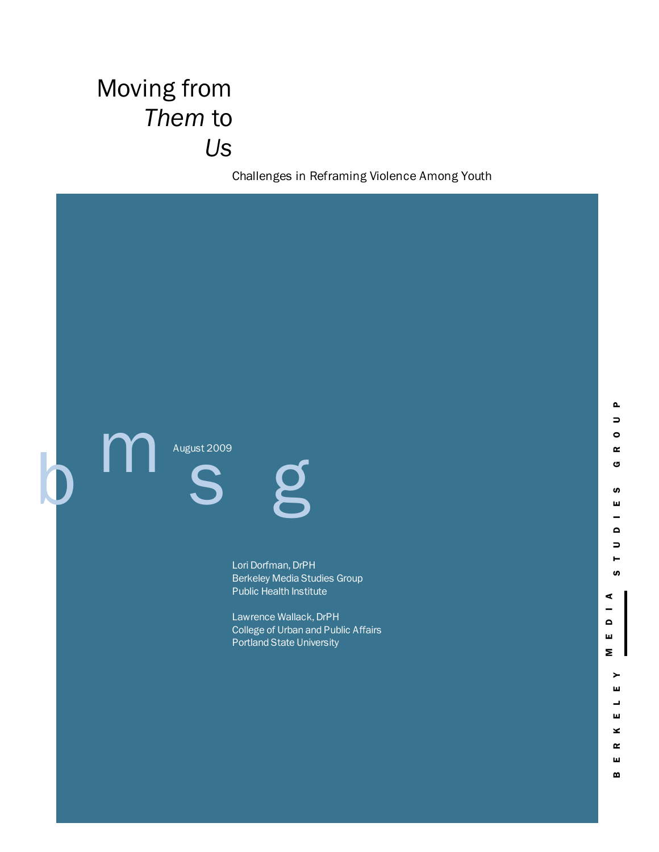# Moving from *Them* to *Us*

Challenges in Reframing Violence Among Youth

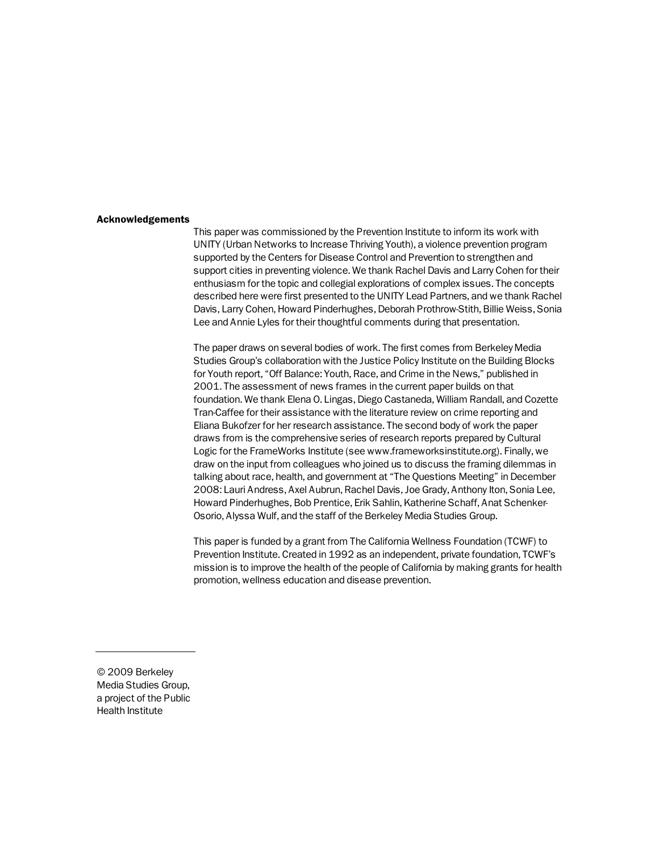#### Acknowledgements

This paper was commissioned by the Prevention Institute to inform its work with UNITY (Urban Networks to Increase Thriving Youth), a violence prevention program supported by the Centers for Disease Control and Prevention to strengthen and support cities in preventing violence. We thank Rachel Davis and Larry Cohen for their enthusiasm for the topic and collegial explorations of complex issues. The concepts described here were first presented to the UNITY Lead Partners, and we thank Rachel Davis, Larry Cohen, Howard Pinderhughes, Deborah Prothrow-Stith, Billie Weiss, Sonia Lee and Annie Lyles for their thoughtful comments during that presentation.

The paper draws on several bodies of work. The first comes from Berkeley Media Studies Group's collaboration with the Justice Policy Institute on the Building Blocks for Youth report, "Off Balance: Youth, Race, and Crime in the News," published in 2001. The assessment of news frames in the current paper builds on that foundation. We thank Elena O. Lingas, Diego Castaneda, William Randall, and Cozette Tran-Caffee for their assistance with the literature review on crime reporting and Eliana Bukofzer for her research assistance. The second body of work the paper draws from is the comprehensive series of research reports prepared by Cultural Logic for the FrameWorks Institute (see www.frameworksinstitute.org). Finally, we draw on the input from colleagues who joined us to discuss the framing dilemmas in talking about race, health, and government at "The Questions Meeting" in December 2008: Lauri Andress, Axel Aubrun, Rachel Davis, Joe Grady, Anthony Iton, Sonia Lee, Howard Pinderhughes, Bob Prentice, Erik Sahlin, Katherine Schaff, Anat Schenker-Osorio, Alyssa Wulf, and the staff of the Berkeley Media Studies Group.

This paper is funded by a grant from The California Wellness Foundation (TCWF) to Prevention Institute. Created in 1992 as an independent, private foundation, TCWF's mission is to improve the health of the people of California by making grants for health promotion, wellness education and disease prevention.

© 2009 Berkeley Media Studies Group, a project of the Public Health Institute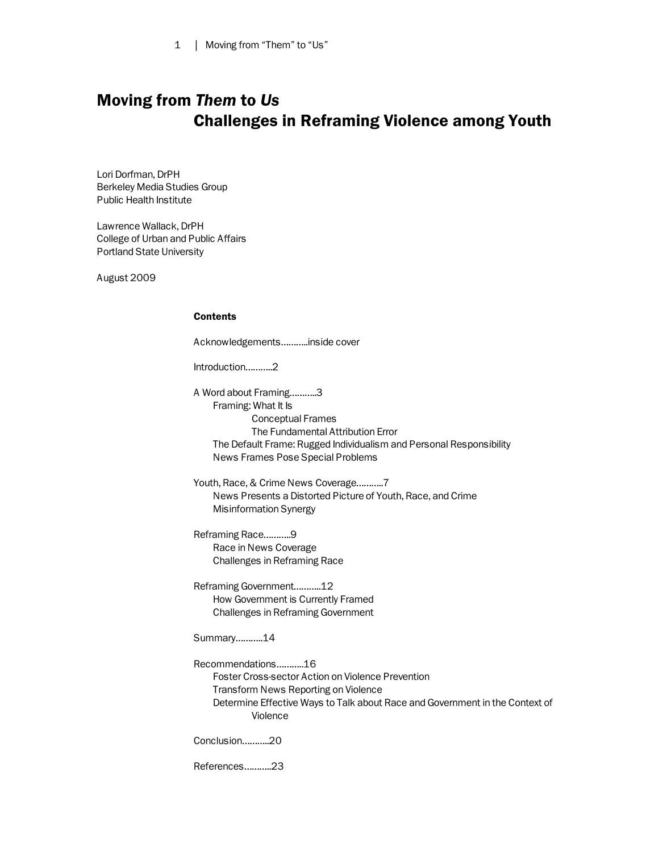# Moving from *Them* to *Us* Challenges in Reframing Violence among Youth

Lori Dorfman, DrPH Berkeley Media Studies Group Public Health Institute

Lawrence Wallack, DrPH College of Urban and Public Affairs Portland State University

August 2009

# Contents

Acknowledgements………..inside cover

Introduction………..2

A Word about Framing………..3 Framing: What It Is Conceptual Frames The Fundamental Attribution Error The Default Frame: Rugged Individualism and Personal Responsibility News Frames Pose Special Problems

Youth, Race, & Crime News Coverage………..7 News Presents a Distorted Picture of Youth, Race, and Crime Misinformation Synergy

Reframing Race………..9 Race in News Coverage Challenges in Reframing Race

Reframing Government………..12 How Government is Currently Framed Challenges in Reframing Government

Summary………..14

Recommendations………..16 Foster Cross-sector Action on Violence Prevention Transform News Reporting on Violence Determine Effective Ways to Talk about Race and Government in the Context of Violence

Conclusion………..20

References………..23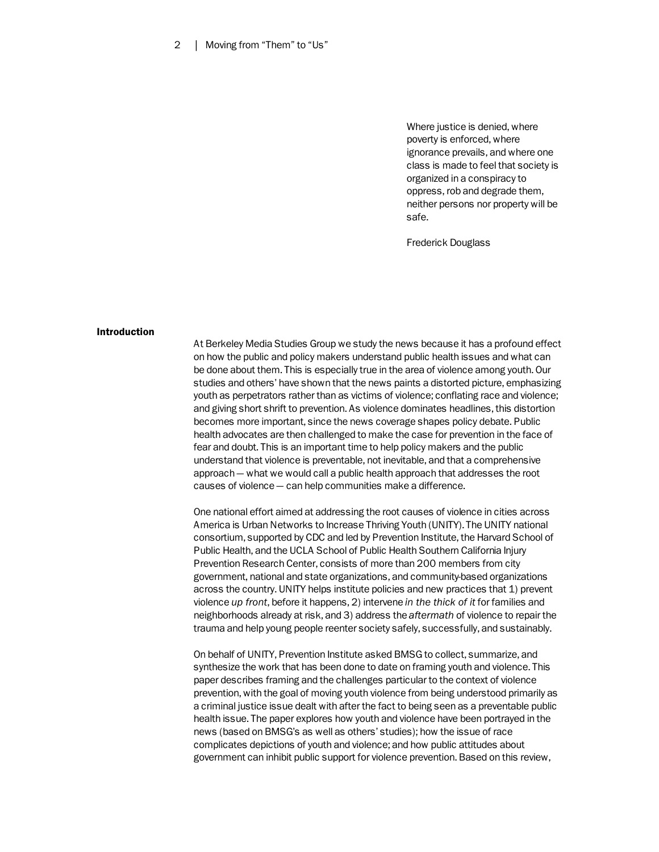Where justice is denied, where poverty is enforced, where ignorance prevails, and where one class is made to feel that society is organized in a conspiracy to oppress, rob and degrade them, neither persons nor property will be safe.

Frederick Douglass

#### Introduction

At Berkeley Media Studies Group we study the news because it has a profound effect on how the public and policy makers understand public health issues and what can be done about them. This is especially true in the area of violence among youth. Our studies and others' have shown that the news paints a distorted picture, emphasizing youth as perpetrators rather than as victims of violence; conflating race and violence; and giving short shrift to prevention. As violence dominates headlines, this distortion becomes more important, since the news coverage shapes policy debate. Public health advocates are then challenged to make the case for prevention in the face of fear and doubt. This is an important time to help policy makers and the public understand that violence is preventable, not inevitable, and that a comprehensive approach — what we would call a public health approach that addresses the root causes of violence — can help communities make a difference.

One national effort aimed at addressing the root causes of violence in cities across America is Urban Networks to Increase Thriving Youth (UNITY). The UNITY national consortium, supported by CDC and led by Prevention Institute, the Harvard School of Public Health, and the UCLA School of Public Health Southern California Injury Prevention Research Center, consists of more than 200 members from city government, national and state organizations, and community-based organizations across the country. UNITY helps institute policies and new practices that 1) prevent violence *up front*, before it happens, 2) intervene *in the thick of it* for families and neighborhoods already at risk, and 3) address the *aftermath* of violence to repair the trauma and help young people reenter society safely, successfully, and sustainably.

On behalf of UNITY, Prevention Institute asked BMSG to collect, summarize, and synthesize the work that has been done to date on framing youth and violence. This paper describes framing and the challenges particular to the context of violence prevention, with the goal of moving youth violence from being understood primarily as a criminal justice issue dealt with after the fact to being seen as a preventable public health issue. The paper explores how youth and violence have been portrayed in the news (based on BMSG's as well as others' studies); how the issue of race complicates depictions of youth and violence; and how public attitudes about government can inhibit public support for violence prevention. Based on this review,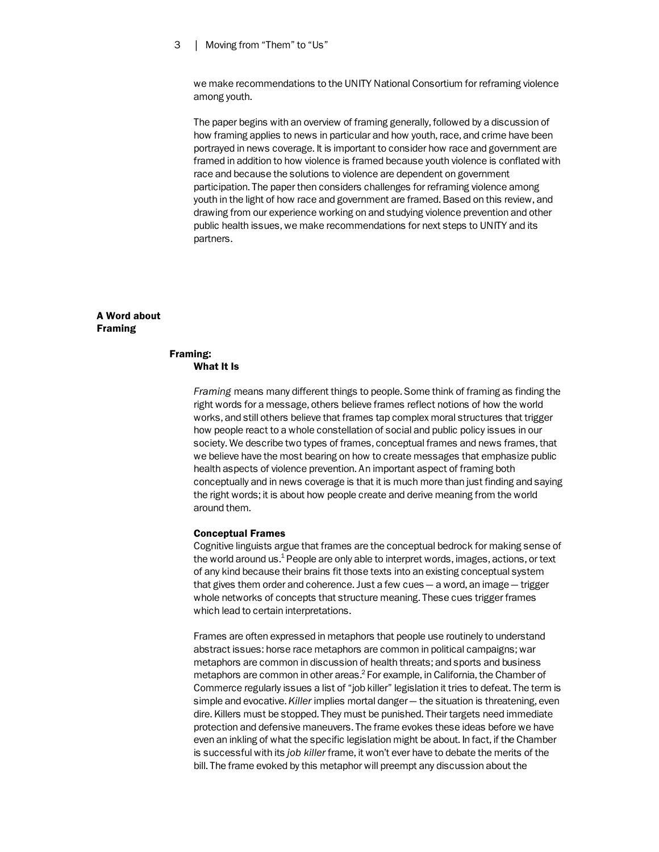we make recommendations to the UNITY National Consortium for reframing violence among youth.

The paper begins with an overview of framing generally, followed by a discussion of how framing applies to news in particular and how youth, race, and crime have been portrayed in news coverage. It is important to consider how race and government are framed in addition to how violence is framed because youth violence is conflated with race and because the solutions to violence are dependent on government participation. The paper then considers challenges for reframing violence among youth in the light of how race and government are framed. Based on this review, and drawing from our experience working on and studying violence prevention and other public health issues, we make recommendations for next steps to UNITY and its partners.

# A Word about Framing

#### Framing: What It Is

*Framing* means many different things to people. Some think of framing as finding the right words for a message, others believe frames reflect notions of how the world works, and still others believe that frames tap complex moral structures that trigger how people react to a whole constellation of social and public policy issues in our society. We describe two types of frames, conceptual frames and news frames, that we believe have the most bearing on how to create messages that emphasize public health aspects of violence prevention. An important aspect of framing both conceptually and in news coverage is that it is much more than just finding and saying the right words; it is about how people create and derive meaning from the world around them.

#### Conceptual Frames

Cognitive linguists argue that frames are the conceptual bedrock for making sense of the world around us. $^{\rm 1}$  People are only able to interpret words, images, actions, or text of any kind because their brains fit those texts into an existing conceptual system that gives them order and coherence. Just a few cues — a word, an image — trigger whole networks of concepts that structure meaning. These cues trigger frames which lead to certain interpretations.

Frames are often expressed in metaphors that people use routinely to understand abstract issues: horse race metaphors are common in political campaigns; war metaphors are common in discussion of health threats; and sports and business metaphors are common in other areas.<sup>2</sup> For example, in California, the Chamber of Commerce regularly issues a list of "job killer" legislation it tries to defeat. The term is simple and evocative. *Killer* implies mortal danger — the situation is threatening, even dire. Killers must be stopped. They must be punished. Their targets need immediate protection and defensive maneuvers. The frame evokes these ideas before we have even an inkling of what the specific legislation might be about. In fact, if the Chamber is successful with its *job killer* frame, it won't ever have to debate the merits of the bill. The frame evoked by this metaphor will preempt any discussion about the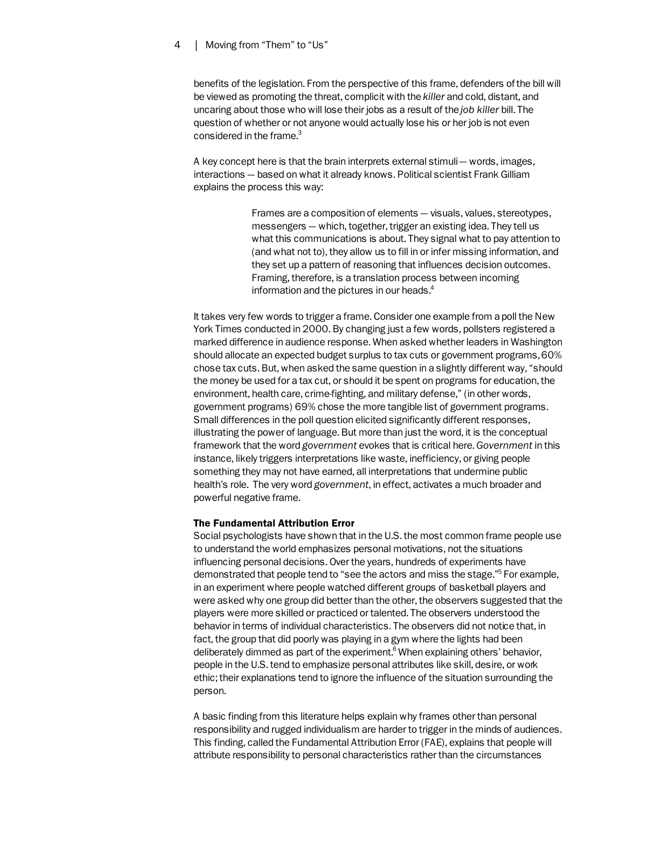benefits of the legislation. From the perspective of this frame, defenders of the bill will be viewed as promoting the threat, complicit with the *killer* and cold, distant, and uncaring about those who will lose their jobs as a result of the *job killer* bill. The question of whether or not anyone would actually lose his or her job is not even considered in the frame.<sup>3</sup>

A key concept here is that the brain interprets external stimuli — words, images, interactions — based on what it already knows. Political scientist Frank Gilliam explains the process this way:

> Frames are a composition of elements — visuals, values, stereotypes, messengers — which, together, trigger an existing idea. They tell us what this communications is about. They signal what to pay attention to (and what not to), they allow us to fill in or infer missing information, and they set up a pattern of reasoning that influences decision outcomes. Framing, therefore, is a translation process between incoming information and the pictures in our heads. $4$

It takes very few words to trigger a frame. Consider one example from a poll the New York Times conducted in 2000. By changing just a few words, pollsters registered a marked difference in audience response. When asked whether leaders in Washington should allocate an expected budget surplus to tax cuts or government programs, 60% chose tax cuts. But, when asked the same question in a slightly different way, "should the money be used for a tax cut, or should it be spent on programs for education, the environment, health care, crime-fighting, and military defense," (in other words, government programs) 69% chose the more tangible list of government programs. Small differences in the poll question elicited significantly different responses, illustrating the power of language. But more than just the word, it is the conceptual framework that the word *government* evokes that is critical here. *Government* in this instance, likely triggers interpretations like waste, inefficiency, or giving people something they may not have earned, all interpretations that undermine public health's role. The very word *government*, in effect, activates a much broader and powerful negative frame.

# The Fundamental Attribution Error

Social psychologists have shown that in the U.S. the most common frame people use to understand the world emphasizes personal motivations, not the situations influencing personal decisions. Over the years, hundreds of experiments have demonstrated that people tend to "see the actors and miss the stage."<sup>5</sup> For example, in an experiment where people watched different groups of basketball players and were asked why one group did better than the other, the observers suggested that the players were more skilled or practiced or talented. The observers understood the behavior in terms of individual characteristics. The observers did not notice that, in fact, the group that did poorly was playing in a gym where the lights had been deliberately dimmed as part of the experiment.<sup>6</sup> When explaining others' behavior, people in the U.S. tend to emphasize personal attributes like skill, desire, or work ethic; their explanations tend to ignore the influence of the situation surrounding the person.

A basic finding from this literature helps explain why frames other than personal responsibility and rugged individualism are harder to trigger in the minds of audiences. This finding, called the Fundamental Attribution Error (FAE), explains that people will attribute responsibility to personal characteristics rather than the circumstances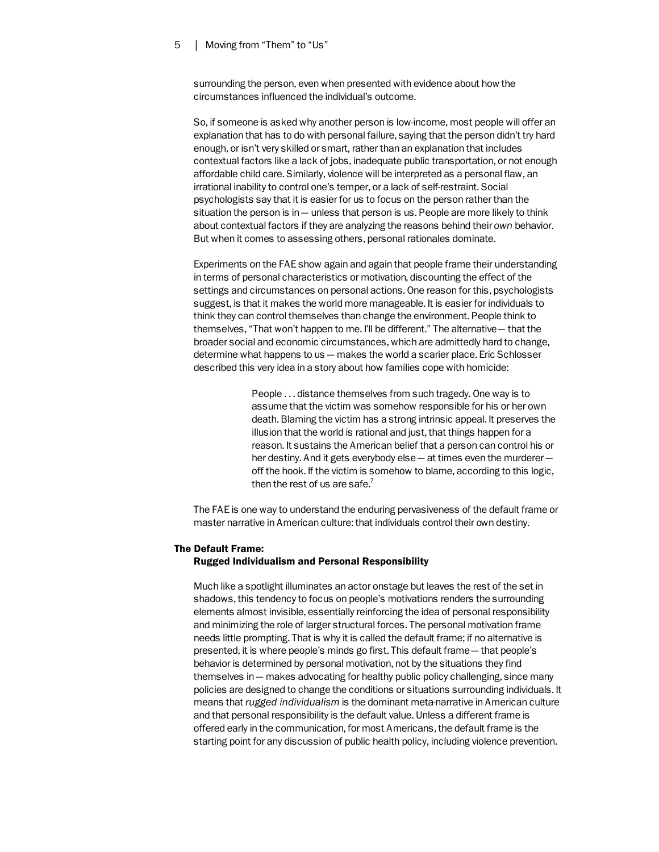surrounding the person, even when presented with evidence about how the circumstances influenced the individual's outcome.

So, if someone is asked why another person is low-income, most people will offer an explanation that has to do with personal failure, saying that the person didn't try hard enough, or isn't very skilled or smart, rather than an explanation that includes contextual factors like a lack of jobs, inadequate public transportation, or not enough affordable child care. Similarly, violence will be interpreted as a personal flaw, an irrational inability to control one's temper, or a lack of self-restraint. Social psychologists say that it is easier for us to focus on the person rather than the situation the person is in — unless that person is us. People are more likely to think about contextual factors if they are analyzing the reasons behind their *own* behavior. But when it comes to assessing others, personal rationales dominate.

Experiments on the FAE show again and again that people frame their understanding in terms of personal characteristics or motivation, discounting the effect of the settings and circumstances on personal actions. One reason for this, psychologists suggest, is that it makes the world more manageable. It is easier for individuals to think they can control themselves than change the environment. People think to themselves, "That won't happen to me. I'll be different." The alternative — that the broader social and economic circumstances, which are admittedly hard to change, determine what happens to us — makes the world a scarier place. Eric Schlosser described this very idea in a story about how families cope with homicide:

> People . . . distance themselves from such tragedy. One way is to assume that the victim was somehow responsible for his or her own death. Blaming the victim has a strong intrinsic appeal. It preserves the illusion that the world is rational and just, that things happen for a reason. It sustains the American belief that a person can control his or her destiny. And it gets everybody else - at times even the murderer off the hook. If the victim is somehow to blame, according to this logic, then the rest of us are safe. $7$

The FAE is one way to understand the enduring pervasiveness of the default frame or master narrative in American culture: that individuals control their own destiny.

# The Default Frame: Rugged Individualism and Personal Responsibility

Much like a spotlight illuminates an actor onstage but leaves the rest of the set in shadows, this tendency to focus on people's motivations renders the surrounding elements almost invisible, essentially reinforcing the idea of personal responsibility and minimizing the role of larger structural forces. The personal motivation frame needs little prompting. That is why it is called the default frame; if no alternative is presented, it is where people's minds go first. This default frame — that people's behavior is determined by personal motivation, not by the situations they find themselves in — makes advocating for healthy public policy challenging, since many policies are designed to change the conditions or situations surrounding individuals. It means that *rugged individualism* is the dominant meta-narrative in American culture and that personal responsibility is the default value. Unless a different frame is offered early in the communication, for most Americans, the default frame is the starting point for any discussion of public health policy, including violence prevention.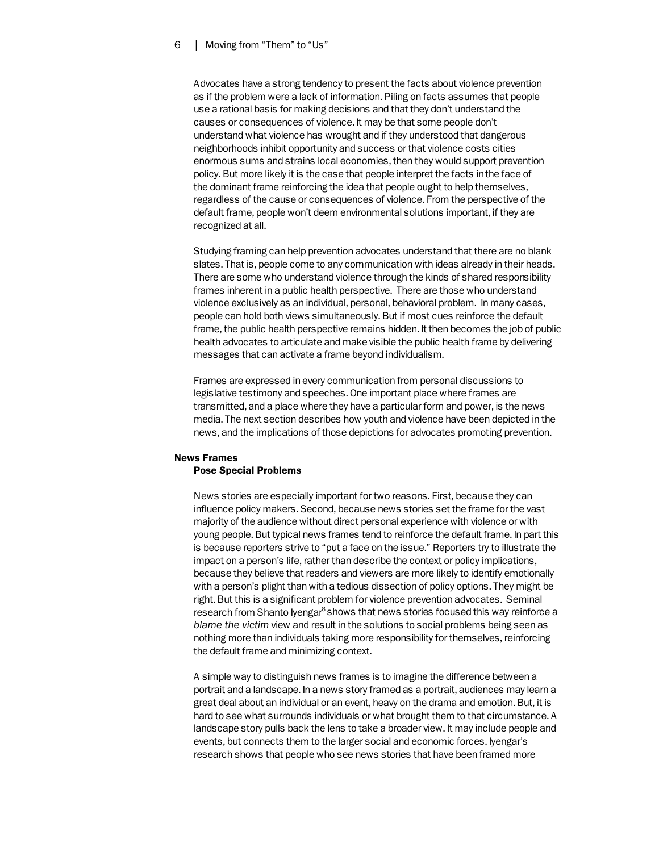Advocates have a strong tendency to present the facts about violence prevention as if the problem were a lack of information. Piling on facts assumes that people use a rational basis for making decisions and that they don't understand the causes or consequences of violence. It may be that some people don't understand what violence has wrought and if they understood that dangerous neighborhoods inhibit opportunity and success or that violence costs cities enormous sums and strains local economies, then they would support prevention policy. But more likely it is the case that people interpret the facts in the face of the dominant frame reinforcing the idea that people ought to help themselves, regardless of the cause or consequences of violence. From the perspective of the default frame, people won't deem environmental solutions important, if they are recognized at all.

Studying framing can help prevention advocates understand that there are no blank slates. That is, people come to any communication with ideas already in their heads. There are some who understand violence through the kinds of shared responsibility frames inherent in a public health perspective. There are those who understand violence exclusively as an individual, personal, behavioral problem. In many cases, people can hold both views simultaneously. But if most cues reinforce the default frame, the public health perspective remains hidden. It then becomes the job of public health advocates to articulate and make visible the public health frame by delivering messages that can activate a frame beyond individualism.

Frames are expressed in every communication from personal discussions to legislative testimony and speeches. One important place where frames are transmitted, and a place where they have a particular form and power, is the news media. The next section describes how youth and violence have been depicted in the news, and the implications of those depictions for advocates promoting prevention.

# News Frames Pose Special Problems

News stories are especially important for two reasons. First, because they can influence policy makers. Second, because news stories set the frame for the vast majority of the audience without direct personal experience with violence or with young people. But typical news frames tend to reinforce the default frame. In part this is because reporters strive to "put a face on the issue." Reporters try to illustrate the impact on a person's life, rather than describe the context or policy implications, because they believe that readers and viewers are more likely to identify emotionally with a person's plight than with a tedious dissection of policy options. They might be right. But this is a significant problem for violence prevention advocates. Seminal research from Shanto lyengar<sup>8</sup> shows that news stories focused this way reinforce a *blame the victim* view and result in the solutions to social problems being seen as nothing more than individuals taking more responsibility for themselves, reinforcing the default frame and minimizing context.

A simple way to distinguish news frames is to imagine the difference between a portrait and a landscape. In a news story framed as a portrait, audiences may learn a great deal about an individual or an event, heavy on the drama and emotion. But, it is hard to see what surrounds individuals or what brought them to that circumstance. A landscape story pulls back the lens to take a broader view. It may include people and events, but connects them to the larger social and economic forces. Iyengar's research shows that people who see news stories that have been framed more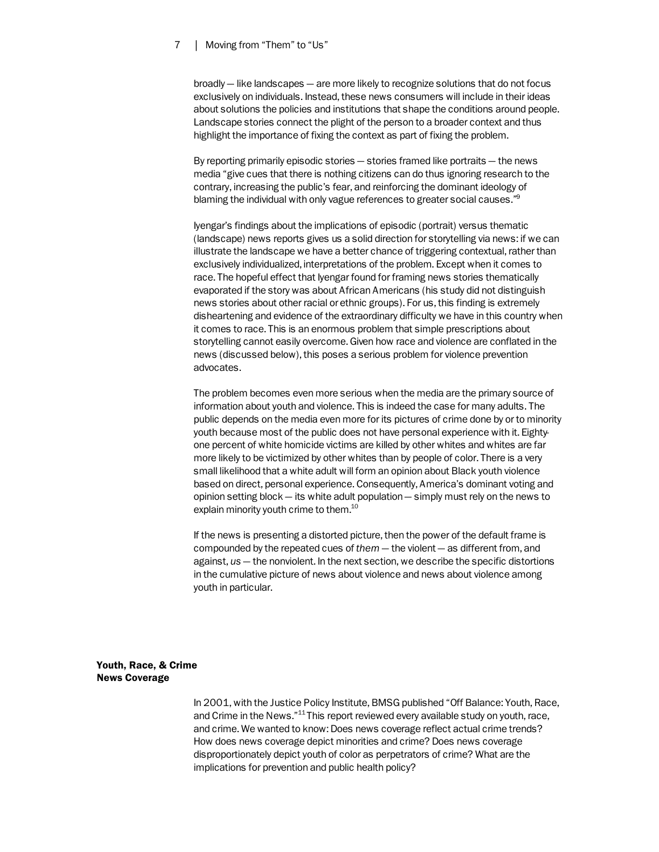broadly — like landscapes — are more likely to recognize solutions that do not focus exclusively on individuals. Instead, these news consumers will include in their ideas about solutions the policies and institutions that shape the conditions around people. Landscape stories connect the plight of the person to a broader context and thus highlight the importance of fixing the context as part of fixing the problem.

By reporting primarily episodic stories — stories framed like portraits — the news media "give cues that there is nothing citizens can do thus ignoring research to the contrary, increasing the public's fear, and reinforcing the dominant ideology of blaming the individual with only vague references to greater social causes."<sup>9</sup>

Iyengar's findings about the implications of episodic (portrait) versus thematic (landscape) news reports gives us a solid direction for storytelling via news: if we can illustrate the landscape we have a better chance of triggering contextual, rather than exclusively individualized, interpretations of the problem. Except when it comes to race. The hopeful effect that Iyengar found for framing news stories thematically evaporated if the story was about African Americans (his study did not distinguish news stories about other racial or ethnic groups). For us, this finding is extremely disheartening and evidence of the extraordinary difficulty we have in this country when it comes to race. This is an enormous problem that simple prescriptions about storytelling cannot easily overcome. Given how race and violence are conflated in the news (discussed below), this poses a serious problem for violence prevention advocates.

The problem becomes even more serious when the media are the primary source of information about youth and violence. This is indeed the case for many adults. The public depends on the media even more for its pictures of crime done by or to minority youth because most of the public does not have personal experience with it. Eightyone percent of white homicide victims are killed by other whites and whites are far more likely to be victimized by other whites than by people of color. There is a very small likelihood that a white adult will form an opinion about Black youth violence based on direct, personal experience. Consequently, America's dominant voting and opinion setting block — its white adult population — simply must rely on the news to explain minority youth crime to them.<sup>10</sup>

If the news is presenting a distorted picture, then the power of the default frame is compounded by the repeated cues of *them* — the violent — as different from, and against, *us* — the nonviolent. In the next section, we describe the specific distortions in the cumulative picture of news about violence and news about violence among youth in particular.

Youth, Race, & Crime News Coverage

> In 2001, with the Justice Policy Institute, BMSG published "Off Balance: Youth, Race, and Crime in the News."<sup>11</sup> This report reviewed every available study on youth, race, and crime. We wanted to know: Does news coverage reflect actual crime trends? How does news coverage depict minorities and crime? Does news coverage disproportionately depict youth of color as perpetrators of crime? What are the implications for prevention and public health policy?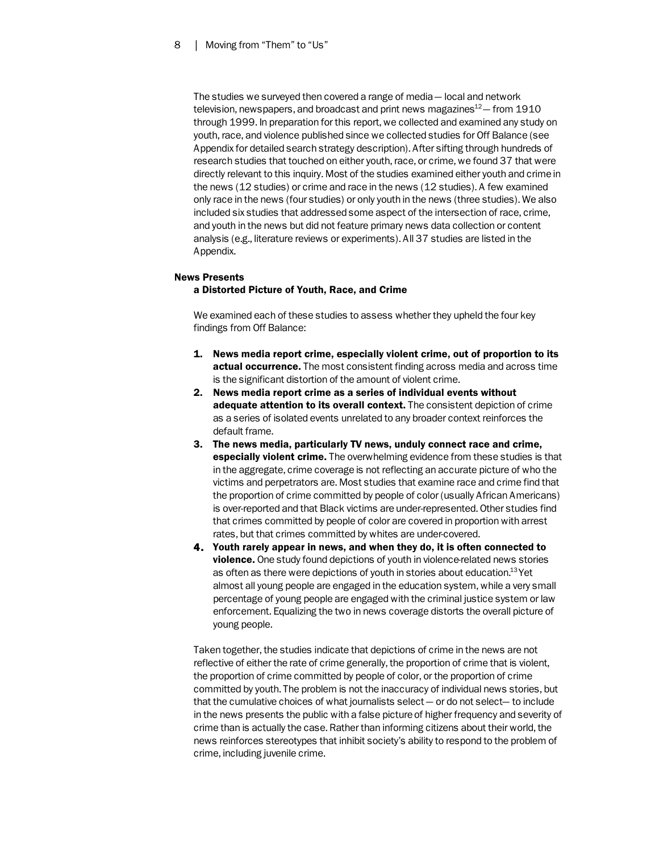The studies we surveyed then covered a range of media — local and network television, newspapers, and broadcast and print news magazines<sup>12</sup> – from 1910 through 1999. In preparation for this report, we collected and examined any study on youth, race, and violence published since we collected studies for Off Balance (see Appendix for detailed search strategy description). After sifting through hundreds of research studies that touched on either youth, race, or crime, we found 37 that were directly relevant to this inquiry. Most of the studies examined either youth and crime in the news (12 studies) or crime and race in the news (12 studies). A few examined only race in the news (four studies) or only youth in the news (three studies). We also included six studies that addressed some aspect of the intersection of race, crime, and youth in the news but did not feature primary news data collection or content analysis (e.g., literature reviews or experiments). All 37 studies are listed in the Appendix.

# News Presents

# a Distorted Picture of Youth, Race, and Crime

We examined each of these studies to assess whether they upheld the four key findings from Off Balance:

- 1. News media report crime, especially violent crime, out of proportion to its actual occurrence. The most consistent finding across media and across time is the significant distortion of the amount of violent crime.
- 2. News media report crime as a series of individual events without **adequate attention to its overall context.** The consistent depiction of crime as a series of isolated events unrelated to any broader context reinforces the default frame.
- 3. The news media, particularly TV news, unduly connect race and crime, **especially violent crime.** The overwhelming evidence from these studies is that in the aggregate, crime coverage is not reflecting an accurate picture of who the victims and perpetrators are. Most studies that examine race and crime find that the proportion of crime committed by people of color (usually African Americans) is over-reported and that Black victims are under-represented. Other studies find that crimes committed by people of color are covered in proportion with arrest rates, but that crimes committed by whites are under-covered.
- 4. Youth rarely appear in news, and when they do, it is often connected to violence. One study found depictions of youth in violence-related news stories as often as there were depictions of youth in stories about education.<sup>13</sup> Yet almost all young people are engaged in the education system, while a very small percentage of young people are engaged with the criminal justice system or law enforcement. Equalizing the two in news coverage distorts the overall picture of young people.

Taken together, the studies indicate that depictions of crime in the news are not reflective of either the rate of crime generally, the proportion of crime that is violent, the proportion of crime committed by people of color, or the proportion of crime committed by youth. The problem is not the inaccuracy of individual news stories, but that the cumulative choices of what journalists select — or do not select— to include in the news presents the public with a false picture of higher frequency and severity of crime than is actually the case. Rather than informing citizens about their world, the news reinforces stereotypes that inhibit society's ability to respond to the problem of crime, including juvenile crime.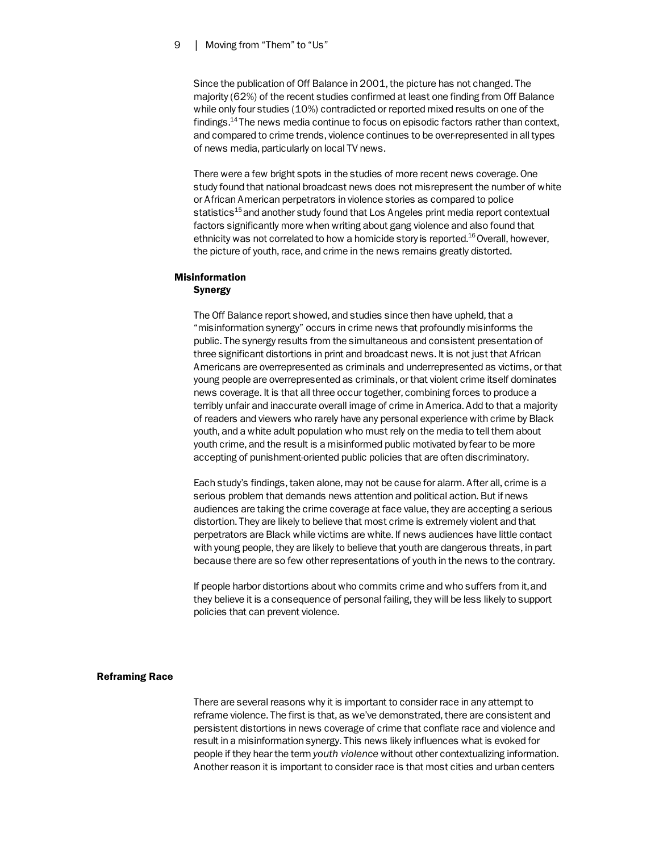Since the publication of Off Balance in 2001, the picture has not changed. The majority (62%) of the recent studies confirmed at least one finding from Off Balance while only four studies (10%) contradicted or reported mixed results on one of the findings.14 The news media continue to focus on episodic factors rather than context, and compared to crime trends, violence continues to be over-represented in all types of news media, particularly on local TV news.

There were a few bright spots in the studies of more recent news coverage. One study found that national broadcast news does not misrepresent the number of white or African American perpetrators in violence stories as compared to police statistics<sup>15</sup> and another study found that Los Angeles print media report contextual factors significantly more when writing about gang violence and also found that ethnicity was not correlated to how a homicide story is reported.<sup>16</sup> Overall, however, the picture of youth, race, and crime in the news remains greatly distorted.

# Misinformation Synergy

The Off Balance report showed, and studies since then have upheld, that a "misinformation synergy" occurs in crime news that profoundly misinforms the public. The synergy results from the simultaneous and consistent presentation of three significant distortions in print and broadcast news. It is not just that African Americans are overrepresented as criminals and underrepresented as victims, or that young people are overrepresented as criminals, or that violent crime itself dominates news coverage. It is that all three occur together, combining forces to produce a terribly unfair and inaccurate overall image of crime in America. Add to that a majority of readers and viewers who rarely have any personal experience with crime by Black youth, and a white adult population who must rely on the media to tell them about youth crime, and the result is a misinformed public motivated by fear to be more accepting of punishment-oriented public policies that are often discriminatory.

Each study's findings, taken alone, may not be cause for alarm. After all, crime is a serious problem that demands news attention and political action. But if news audiences are taking the crime coverage at face value, they are accepting a serious distortion. They are likely to believe that most crime is extremely violent and that perpetrators are Black while victims are white. If news audiences have little contact with young people, they are likely to believe that youth are dangerous threats, in part because there are so few other representations of youth in the news to the contrary.

If people harbor distortions about who commits crime and who suffers from it, and they believe it is a consequence of personal failing, they will be less likely to support policies that can prevent violence.

#### Reframing Race

There are several reasons why it is important to consider race in any attempt to reframe violence. The first is that, as we've demonstrated, there are consistent and persistent distortions in news coverage of crime that conflate race and violence and result in a misinformation synergy. This news likely influences what is evoked for people if they hear the term *youth violence* without other contextualizing information. Another reason it is important to consider race is that most cities and urban centers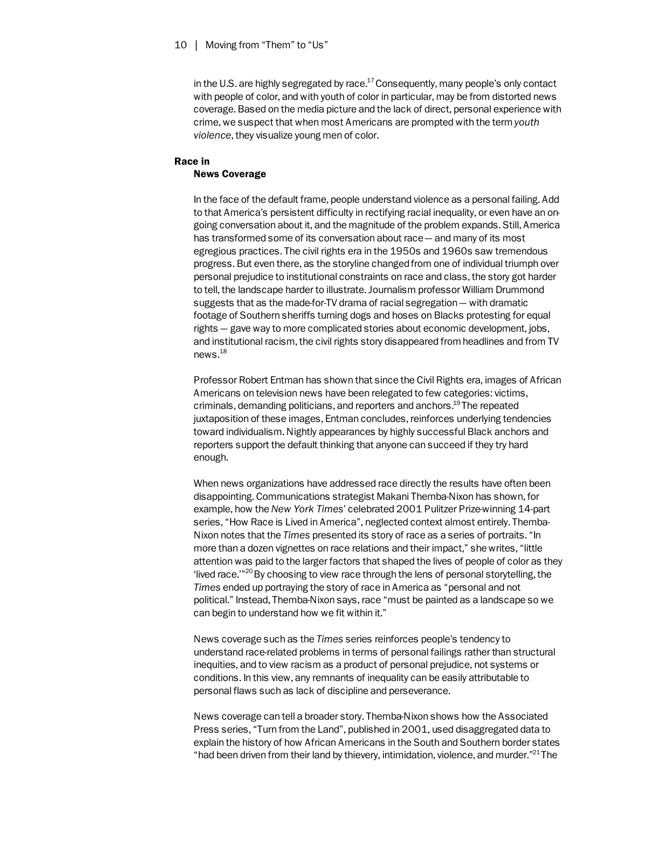in the U.S. are highly segregated by race. $^{17}$  Consequently, many people's only contact with people of color, and with youth of color in particular, may be from distorted news coverage. Based on the media picture and the lack of direct, personal experience with crime, we suspect that when most Americans are prompted with the term *youth violence*, they visualize young men of color.

# Race in News Coverage

In the face of the default frame, people understand violence as a personal failing. Add to that America's persistent difficulty in rectifying racial inequality, or even have an ongoing conversation about it, and the magnitude of the problem expands. Still, America has transformed some of its conversation about race — and many of its most egregious practices. The civil rights era in the 1950s and 1960s saw tremendous progress. But even there, as the storyline changed from one of individual triumph over personal prejudice to institutional constraints on race and class, the story got harder to tell, the landscape harder to illustrate. Journalism professor William Drummond suggests that as the made-for-TV drama of racial segregation — with dramatic footage of Southern sheriffs turning dogs and hoses on Blacks protesting for equal rights — gave way to more complicated stories about economic development, jobs, and institutional racism, the civil rights story disappeared from headlines and from TV news.18

Professor Robert Entman has shown that since the Civil Rights era, images of African Americans on television news have been relegated to few categories: victims, criminals, demanding politicians, and reporters and anchors.<sup>19</sup> The repeated juxtaposition of these images, Entman concludes, reinforces underlying tendencies toward individualism. Nightly appearances by highly successful Black anchors and reporters support the default thinking that anyone can succeed if they try hard enough.

When news organizations have addressed race directly the results have often been disappointing. Communications strategist Makani Themba-Nixon has shown, for example, how the *New York Times*' celebrated 2001 Pulitzer Prize-winning 14-part series, "How Race is Lived in America", neglected context almost entirely. Themba-Nixon notes that the *Times* presented its story of race as a series of portraits. "In more than a dozen vignettes on race relations and their impact," she writes, "little attention was paid to the larger factors that shaped the lives of people of color as they 'lived race.'"20 By choosing to view race through the lens of personal storytelling, the *Times* ended up portraying the story of race in America as "personal and not political." Instead, Themba-Nixon says, race "must be painted as a landscape so we can begin to understand how we fit within it."

News coverage such as the *Times* series reinforces people's tendency to understand race-related problems in terms of personal failings rather than structural inequities, and to view racism as a product of personal prejudice, not systems or conditions. In this view, any remnants of inequality can be easily attributable to personal flaws such as lack of discipline and perseverance.

News coverage can tell a broader story. Themba-Nixon shows how the Associated Press series, "Turn from the Land", published in 2001, used disaggregated data to explain the history of how African Americans in the South and Southern border states "had been driven from their land by thievery, intimidation, violence, and murder."<sup>21</sup> The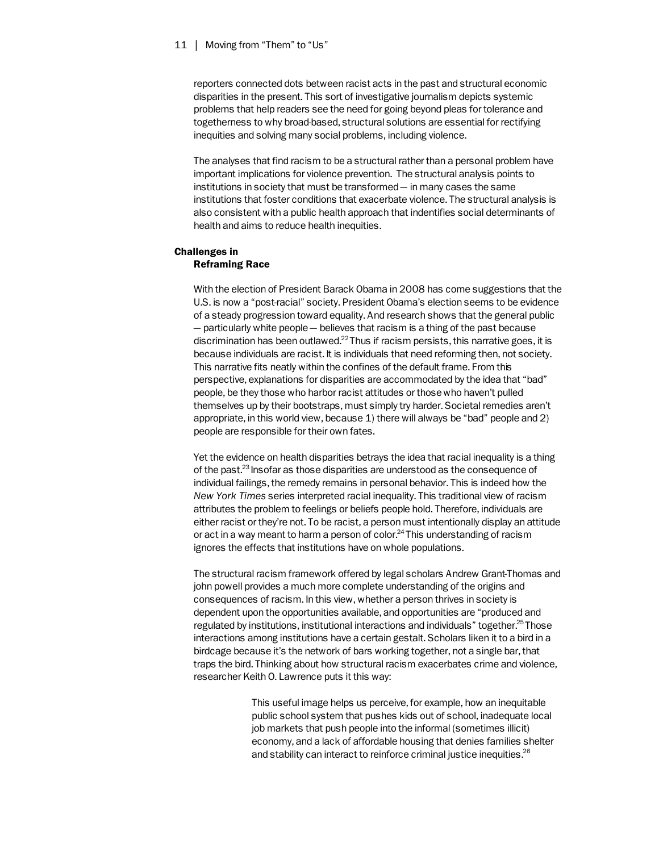reporters connected dots between racist acts in the past and structural economic disparities in the present. This sort of investigative journalism depicts systemic problems that help readers see the need for going beyond pleas for tolerance and togetherness to why broad-based, structural solutions are essential for rectifying inequities and solving many social problems, including violence.

The analyses that find racism to be a structural rather than a personal problem have important implications for violence prevention. The structural analysis points to institutions in society that must be transformed — in many cases the same institutions that foster conditions that exacerbate violence. The structural analysis is also consistent with a public health approach that indentifies social determinants of health and aims to reduce health inequities.

# Challenges in Reframing Race

With the election of President Barack Obama in 2008 has come suggestions that the U.S. is now a "post-racial" society. President Obama's election seems to be evidence of a steady progression toward equality. And research shows that the general public — particularly white people — believes that racism is a thing of the past because discrimination has been outlawed.<sup>22</sup> Thus if racism persists, this narrative goes, it is because individuals are racist. It is individuals that need reforming then, not society. This narrative fits neatly within the confines of the default frame. From this perspective, explanations for disparities are accommodated by the idea that "bad" people, be they those who harbor racist attitudes or those who haven't pulled themselves up by their bootstraps, must simply try harder. Societal remedies aren't appropriate, in this world view, because 1) there will always be "bad" people and 2) people are responsible for their own fates.

Yet the evidence on health disparities betrays the idea that racial inequality is a thing of the past.23 Insofar as those disparities are understood as the consequence of individual failings, the remedy remains in personal behavior. This is indeed how the *New York Times* series interpreted racial inequality. This traditional view of racism attributes the problem to feelings or beliefs people hold. Therefore, individuals are either racist or they're not. To be racist, a person must intentionally display an attitude or act in a way meant to harm a person of color.<sup>24</sup> This understanding of racism ignores the effects that institutions have on whole populations.

The structural racism framework offered by legal scholars Andrew Grant-Thomas and john powell provides a much more complete understanding of the origins and consequences of racism. In this view, whether a person thrives in society is dependent upon the opportunities available, and opportunities are "produced and regulated by institutions, institutional interactions and individuals" together.<sup>25</sup> Those interactions among institutions have a certain gestalt. Scholars liken it to a bird in a birdcage because it's the network of bars working together, not a single bar, that traps the bird. Thinking about how structural racism exacerbates crime and violence, researcher Keith O. Lawrence puts it this way:

> This useful image helps us perceive, for example, how an inequitable public school system that pushes kids out of school, inadequate local job markets that push people into the informal (sometimes illicit) economy, and a lack of affordable housing that denies families shelter and stability can interact to reinforce criminal justice inequities.<sup>26</sup>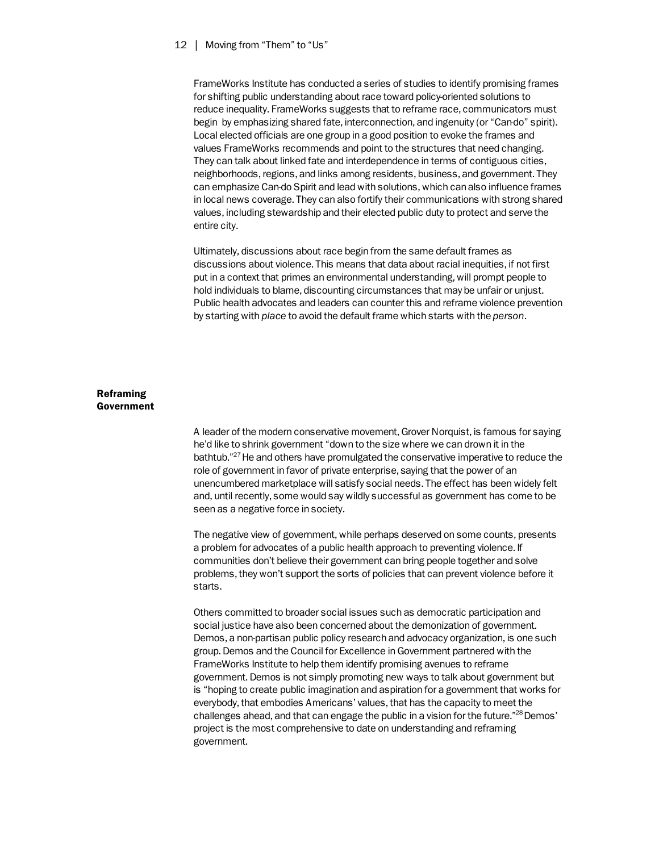FrameWorks Institute has conducted a series of studies to identify promising frames for shifting public understanding about race toward policy-oriented solutions to reduce inequality. FrameWorks suggests that to reframe race, communicators must begin by emphasizing shared fate, interconnection, and ingenuity (or "Can-do" spirit). Local elected officials are one group in a good position to evoke the frames and values FrameWorks recommends and point to the structures that need changing. They can talk about linked fate and interdependence in terms of contiguous cities, neighborhoods, regions, and links among residents, business, and government. They can emphasize Can-do Spirit and lead with solutions, which can also influence frames in local news coverage. They can also fortify their communications with strong shared values, including stewardship and their elected public duty to protect and serve the entire city.

Ultimately, discussions about race begin from the same default frames as discussions about violence. This means that data about racial inequities, if not first put in a context that primes an environmental understanding, will prompt people to hold individuals to blame, discounting circumstances that may be unfair or unjust. Public health advocates and leaders can counter this and reframe violence prevention by starting with *place* to avoid the default frame which starts with the *person*.

# Reframing Government

A leader of the modern conservative movement, Grover Norquist, is famous for saying he'd like to shrink government "down to the size where we can drown it in the bathtub."27 He and others have promulgated the conservative imperative to reduce the role of government in favor of private enterprise, saying that the power of an unencumbered marketplace will satisfy social needs. The effect has been widely felt and, until recently, some would say wildly successful as government has come to be seen as a negative force in society.

The negative view of government, while perhaps deserved on some counts, presents a problem for advocates of a public health approach to preventing violence. If communities don't believe their government can bring people together and solve problems, they won't support the sorts of policies that can prevent violence before it starts.

Others committed to broader social issues such as democratic participation and social justice have also been concerned about the demonization of government. Demos, a non-partisan public policy research and advocacy organization, is one such group. Demos and the Council for Excellence in Government partnered with the FrameWorks Institute to help them identify promising avenues to reframe government. Demos is not simply promoting new ways to talk about government but is "hoping to create public imagination and aspiration for a government that works for everybody, that embodies Americans' values, that has the capacity to meet the challenges ahead, and that can engage the public in a vision for the future."<sup>28</sup> Demos' project is the most comprehensive to date on understanding and reframing government.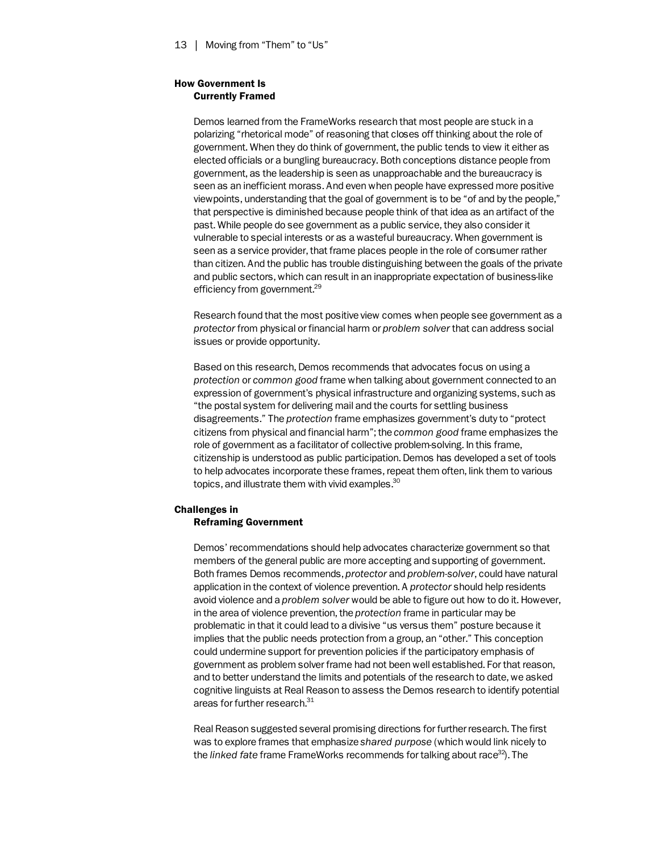# How Government Is Currently Framed

Demos learned from the FrameWorks research that most people are stuck in a polarizing "rhetorical mode" of reasoning that closes off thinking about the role of government. When they do think of government, the public tends to view it either as elected officials or a bungling bureaucracy. Both conceptions distance people from government, as the leadership is seen as unapproachable and the bureaucracy is seen as an inefficient morass. And even when people have expressed more positive viewpoints, understanding that the goal of government is to be "of and by the people," that perspective is diminished because people think of that idea as an artifact of the past. While people do see government as a public service, they also consider it vulnerable to special interests or as a wasteful bureaucracy. When government is seen as a service provider, that frame places people in the role of consumer rather than citizen. And the public has trouble distinguishing between the goals of the private and public sectors, which can result in an inappropriate expectation of business-like efficiency from government.<sup>29</sup>

Research found that the most positive view comes when people see government as a *protector* from physical or financial harm or *problem solver* that can address social issues or provide opportunity.

Based on this research, Demos recommends that advocates focus on using a *protection* or *common good* frame when talking about government connected to an expression of government's physical infrastructure and organizing systems, such as "the postal system for delivering mail and the courts for settling business disagreements." The *protection* frame emphasizes government's duty to "protect citizens from physical and financial harm"; the *common good* frame emphasizes the role of government as a facilitator of collective problem-solving. In this frame, citizenship is understood as public participation. Demos has developed a set of tools to help advocates incorporate these frames, repeat them often, link them to various topics, and illustrate them with vivid examples.<sup>30</sup>

# Challenges in Reframing Government

Demos' recommendations should help advocates characterize government so that members of the general public are more accepting and supporting of government. Both frames Demos recommends, *protector* and *problem-solver*, could have natural application in the context of violence prevention. A *protector* should help residents avoid violence and a *problem solver* would be able to figure out how to do it. However, in the area of violence prevention, the *protection* frame in particular may be problematic in that it could lead to a divisive "us versus them" posture because it implies that the public needs protection from a group, an "other." This conception could undermine support for prevention policies if the participatory emphasis of government as problem solver frame had not been well established. For that reason, and to better understand the limits and potentials of the research to date, we asked cognitive linguists at Real Reason to assess the Demos research to identify potential areas for further research.<sup>31</sup>

Real Reason suggested several promising directions for further research. The first was to explore frames that emphasize *shared purpose* (which would link nicely to the *linked fate* frame FrameWorks recommends for talking about race<sup>32</sup>. The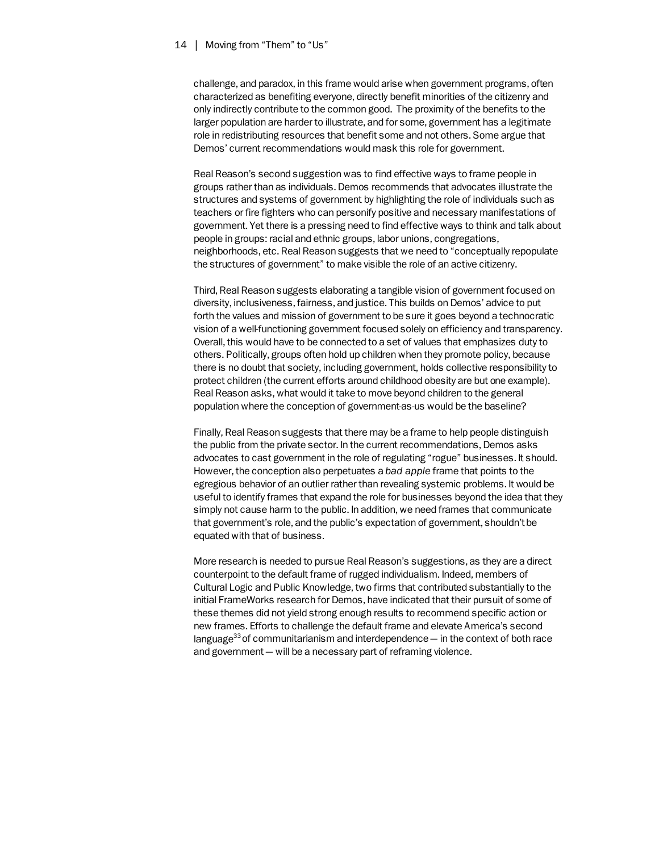challenge, and paradox, in this frame would arise when government programs, often characterized as benefiting everyone, directly benefit minorities of the citizenry and only indirectly contribute to the common good. The proximity of the benefits to the larger population are harder to illustrate, and for some, government has a legitimate role in redistributing resources that benefit some and not others. Some argue that Demos' current recommendations would mask this role for government.

Real Reason's second suggestion was to find effective ways to frame people in groups rather than as individuals. Demos recommends that advocates illustrate the structures and systems of government by highlighting the role of individuals such as teachers or fire fighters who can personify positive and necessary manifestations of government. Yet there is a pressing need to find effective ways to think and talk about people in groups: racial and ethnic groups, labor unions, congregations, neighborhoods, etc. Real Reason suggests that we need to "conceptually repopulate the structures of government" to make visible the role of an active citizenry.

Third, Real Reason suggests elaborating a tangible vision of government focused on diversity, inclusiveness, fairness, and justice. This builds on Demos' advice to put forth the values and mission of government to be sure it goes beyond a technocratic vision of a well-functioning government focused solely on efficiency and transparency. Overall, this would have to be connected to a set of values that emphasizes duty to others. Politically, groups often hold up children when they promote policy, because there is no doubt that society, including government, holds collective responsibility to protect children (the current efforts around childhood obesity are but one example). Real Reason asks, what would it take to move beyond children to the general population where the conception of government-as-us would be the baseline?

Finally, Real Reason suggests that there may be a frame to help people distinguish the public from the private sector. In the current recommendations, Demos asks advocates to cast government in the role of regulating "rogue" businesses. It should. However, the conception also perpetuates a *bad apple* frame that points to the egregious behavior of an outlier rather than revealing systemic problems. It would be useful to identify frames that expand the role for businesses beyond the idea that they simply not cause harm to the public. In addition, we need frames that communicate that government's role, and the public's expectation of government, shouldn't be equated with that of business.

More research is needed to pursue Real Reason's suggestions, as they are a direct counterpoint to the default frame of rugged individualism. Indeed, members of Cultural Logic and Public Knowledge, two firms that contributed substantially to the initial FrameWorks research for Demos, have indicated that their pursuit of some of these themes did not yield strong enough results to recommend specific action or new frames. Efforts to challenge the default frame and elevate America's second language<sup>33</sup> of communitarianism and interdependence  $-$  in the context of both race and government — will be a necessary part of reframing violence.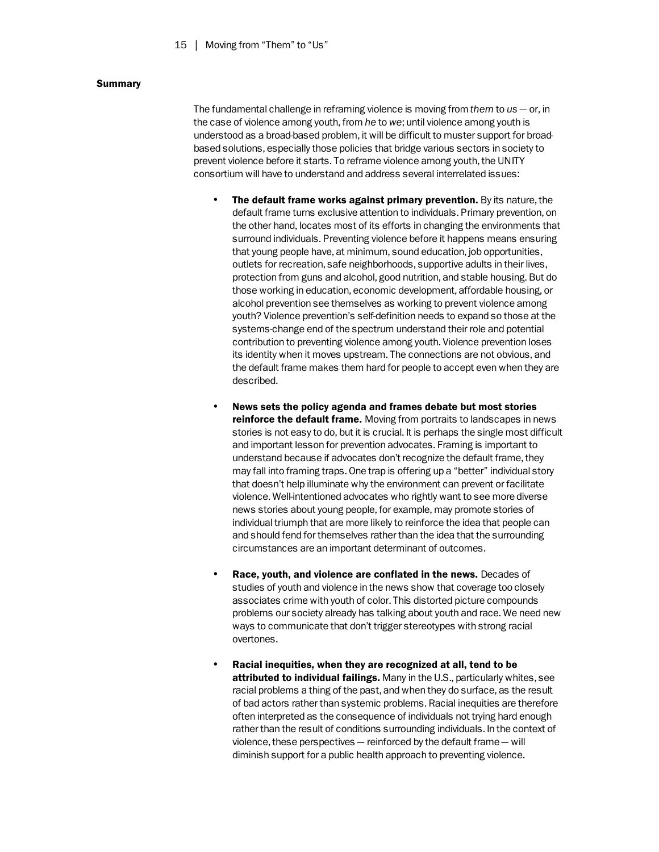# Summary

The fundamental challenge in reframing violence is moving from *them* to *us* — or, in the case of violence among youth, from *he* to *we*; until violence among youth is understood as a broad-based problem, it will be difficult to muster support for broadbased solutions, especially those policies that bridge various sectors in society to prevent violence before it starts. To reframe violence among youth, the UNITY consortium will have to understand and address several interrelated issues:

- The default frame works against primary prevention. By its nature, the default frame turns exclusive attention to individuals. Primary prevention, on the other hand, locates most of its efforts in changing the environments that surround individuals. Preventing violence before it happens means ensuring that young people have, at minimum, sound education, job opportunities, outlets for recreation, safe neighborhoods, supportive adults in their lives, protection from guns and alcohol, good nutrition, and stable housing. But do those working in education, economic development, affordable housing, or alcohol prevention see themselves as working to prevent violence among youth? Violence prevention's self-definition needs to expand so those at the systems-change end of the spectrum understand their role and potential contribution to preventing violence among youth. Violence prevention loses its identity when it moves upstream. The connections are not obvious, and the default frame makes them hard for people to accept even when they are described.
- News sets the policy agenda and frames debate but most stories reinforce the default frame. Moving from portraits to landscapes in news stories is not easy to do, but it is crucial. It is perhaps the single most difficult and important lesson for prevention advocates. Framing is important to understand because if advocates don't recognize the default frame, they may fall into framing traps. One trap is offering up a "better" individual story that doesn't help illuminate why the environment can prevent or facilitate violence. Well-intentioned advocates who rightly want to see more diverse news stories about young people, for example, may promote stories of individual triumph that are more likely to reinforce the idea that people can and should fend for themselves rather than the idea that the surrounding circumstances are an important determinant of outcomes.
- Race, youth, and violence are conflated in the news. Decades of studies of youth and violence in the news show that coverage too closely associates crime with youth of color. This distorted picture compounds problems our society already has talking about youth and race. We need new ways to communicate that don't trigger stereotypes with strong racial overtones.
- Racial inequities, when they are recognized at all, tend to be attributed to individual failings. Many in the U.S., particularly whites, see racial problems a thing of the past, and when they do surface, as the result of bad actors rather than systemic problems. Racial inequities are therefore often interpreted as the consequence of individuals not trying hard enough rather than the result of conditions surrounding individuals. In the context of violence, these perspectives — reinforced by the default frame — will diminish support for a public health approach to preventing violence.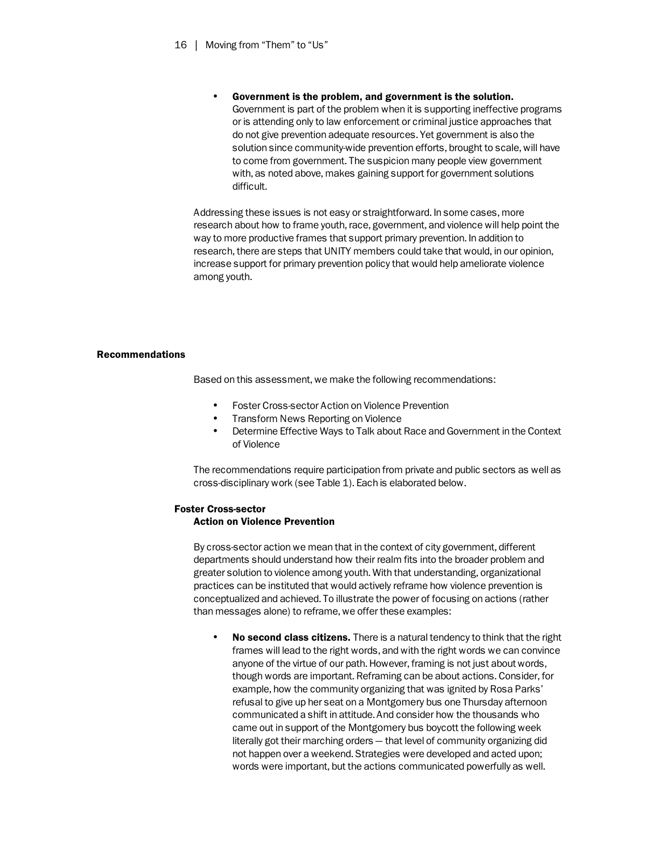• Government is the problem, and government is the solution. Government is part of the problem when it is supporting ineffective programs or is attending only to law enforcement or criminal justice approaches that do not give prevention adequate resources. Yet government is also the solution since community-wide prevention efforts, brought to scale, will have to come from government. The suspicion many people view government with, as noted above, makes gaining support for government solutions difficult.

Addressing these issues is not easy or straightforward. In some cases, more research about how to frame youth, race, government, and violence will help point the way to more productive frames that support primary prevention. In addition to research, there are steps that UNITY members could take that would, in our opinion, increase support for primary prevention policy that would help ameliorate violence among youth.

# Recommendations

Based on this assessment, we make the following recommendations:

- Foster Cross-sector Action on Violence Prevention
- Transform News Reporting on Violence
- Determine Effective Ways to Talk about Race and Government in the Context of Violence

The recommendations require participation from private and public sectors as well as cross-disciplinary work (see Table 1). Each is elaborated below.

# Foster Cross-sector

# Action on Violence Prevention

By cross-sector action we mean that in the context of city government, different departments should understand how their realm fits into the broader problem and greater solution to violence among youth. With that understanding, organizational practices can be instituted that would actively reframe how violence prevention is conceptualized and achieved. To illustrate the power of focusing on actions (rather than messages alone) to reframe, we offer these examples:

• No second class citizens. There is a natural tendency to think that the right frames will lead to the right words, and with the right words we can convince anyone of the virtue of our path. However, framing is not just about words, though words are important. Reframing can be about actions. Consider, for example, how the community organizing that was ignited by Rosa Parks' refusal to give up her seat on a Montgomery bus one Thursday afternoon communicated a shift in attitude. And consider how the thousands who came out in support of the Montgomery bus boycott the following week literally got their marching orders — that level of community organizing did not happen over a weekend. Strategies were developed and acted upon; words were important, but the actions communicated powerfully as well.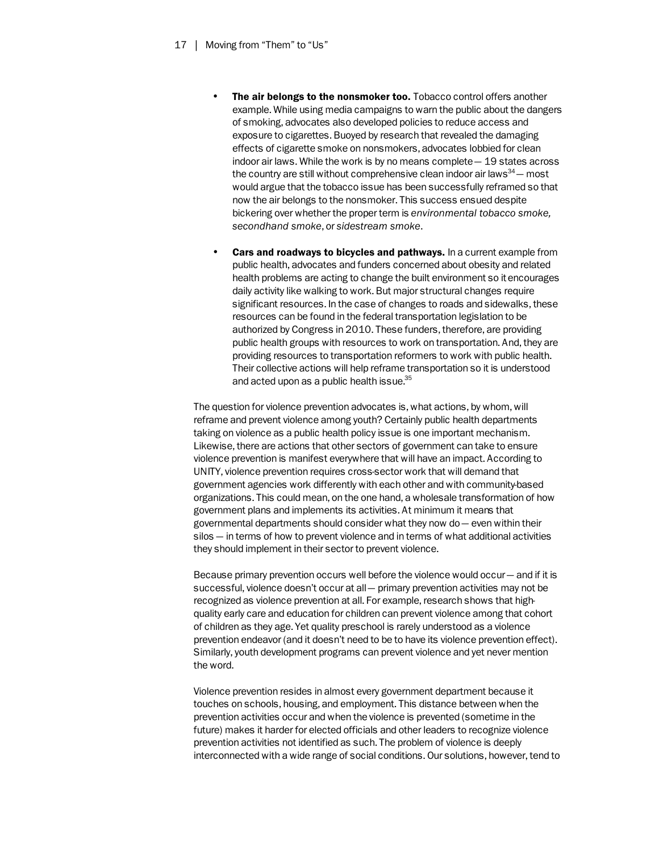- **The air belongs to the nonsmoker too.** Tobacco control offers another example. While using media campaigns to warn the public about the dangers of smoking, advocates also developed policies to reduce access and exposure to cigarettes. Buoyed by research that revealed the damaging effects of cigarette smoke on nonsmokers, advocates lobbied for clean indoor air laws. While the work is by no means complete — 19 states across the country are still without comprehensive clean indoor air laws $34$  — most would argue that the tobacco issue has been successfully reframed so that now the air belongs to the nonsmoker. This success ensued despite bickering over whether the proper term is *environmental tobacco smoke, secondhand smoke*, or *sidestream smoke*.
- Cars and roadways to bicycles and pathways. In a current example from public health, advocates and funders concerned about obesity and related health problems are acting to change the built environment so it encourages daily activity like walking to work. But major structural changes require significant resources. In the case of changes to roads and sidewalks, these resources can be found in the federal transportation legislation to be authorized by Congress in 2010. These funders, therefore, are providing public health groups with resources to work on transportation. And, they are providing resources to transportation reformers to work with public health. Their collective actions will help reframe transportation so it is understood and acted upon as a public health issue.<sup>35</sup>

The question for violence prevention advocates is, what actions, by whom, will reframe and prevent violence among youth? Certainly public health departments taking on violence as a public health policy issue is one important mechanism. Likewise, there are actions that other sectors of government can take to ensure violence prevention is manifest everywhere that will have an impact. According to UNITY, violence prevention requires cross-sector work that will demand that government agencies work differently with each other and with community-based organizations. This could mean, on the one hand, a wholesale transformation of how government plans and implements its activities. At minimum it means that governmental departments should consider what they now do  $-$  even within their silos — in terms of how to prevent violence and in terms of what additional activities they should implement in their sector to prevent violence.

Because primary prevention occurs well before the violence would occur — and if it is successful, violence doesn't occur at all — primary prevention activities may not be recognized as violence prevention at all. For example, research shows that highquality early care and education for children can prevent violence among that cohort of children as they age. Yet quality preschool is rarely understood as a violence prevention endeavor (and it doesn't need to be to have its violence prevention effect). Similarly, youth development programs can prevent violence and yet never mention the word.

Violence prevention resides in almost every government department because it touches on schools, housing, and employment. This distance between when the prevention activities occur and when the violence is prevented (sometime in the future) makes it harder for elected officials and other leaders to recognize violence prevention activities not identified as such. The problem of violence is deeply interconnected with a wide range of social conditions. Our solutions, however, tend to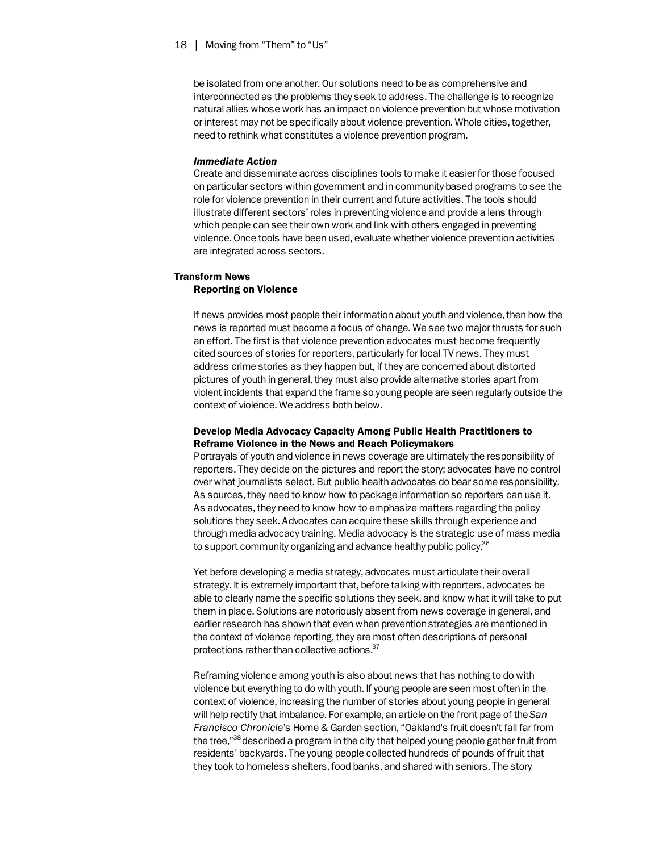be isolated from one another. Our solutions need to be as comprehensive and interconnected as the problems they seek to address. The challenge is to recognize natural allies whose work has an impact on violence prevention but whose motivation or interest may not be specifically about violence prevention. Whole cities, together, need to rethink what constitutes a violence prevention program.

#### *Immediate Action*

Create and disseminate across disciplines tools to make it easier for those focused on particular sectors within government and in community-based programs to see the role for violence prevention in their current and future activities. The tools should illustrate different sectors' roles in preventing violence and provide a lens through which people can see their own work and link with others engaged in preventing violence. Once tools have been used, evaluate whether violence prevention activities are integrated across sectors.

# Transform News Reporting on Violence

If news provides most people their information about youth and violence, then how the news is reported must become a focus of change. We see two major thrusts for such an effort. The first is that violence prevention advocates must become frequently cited sources of stories for reporters, particularly for local TV news. They must address crime stories as they happen but, if they are concerned about distorted pictures of youth in general, they must also provide alternative stories apart from violent incidents that expand the frame so young people are seen regularly outside the context of violence. We address both below.

# Develop Media Advocacy Capacity Among Public Health Practitioners to Reframe Violence in the News and Reach Policymakers

Portrayals of youth and violence in news coverage are ultimately the responsibility of reporters. They decide on the pictures and report the story; advocates have no control over what journalists select. But public health advocates do bear some responsibility. As sources, they need to know how to package information so reporters can use it. As advocates, they need to know how to emphasize matters regarding the policy solutions they seek. Advocates can acquire these skills through experience and through media advocacy training. Media advocacy is the strategic use of mass media to support community organizing and advance healthy public policy.<sup>36</sup>

Yet before developing a media strategy, advocates must articulate their overall strategy. It is extremely important that, before talking with reporters, advocates be able to clearly name the specific solutions they seek, and know what it will take to put them in place. Solutions are notoriously absent from news coverage in general, and earlier research has shown that even when prevention strategies are mentioned in the context of violence reporting, they are most often descriptions of personal protections rather than collective actions.<sup>37</sup>

Reframing violence among youth is also about news that has nothing to do with violence but everything to do with youth. If young people are seen most often in the context of violence, increasing the number of stories about young people in general will help rectify that imbalance. For example, an article on the front page of the *San Francisco Chronicle*'s Home & Garden section, "Oakland's fruit doesn't fall far from the tree,"<sup>38</sup> described a program in the city that helped young people gather fruit from residents' backyards. The young people collected hundreds of pounds of fruit that they took to homeless shelters, food banks, and shared with seniors. The story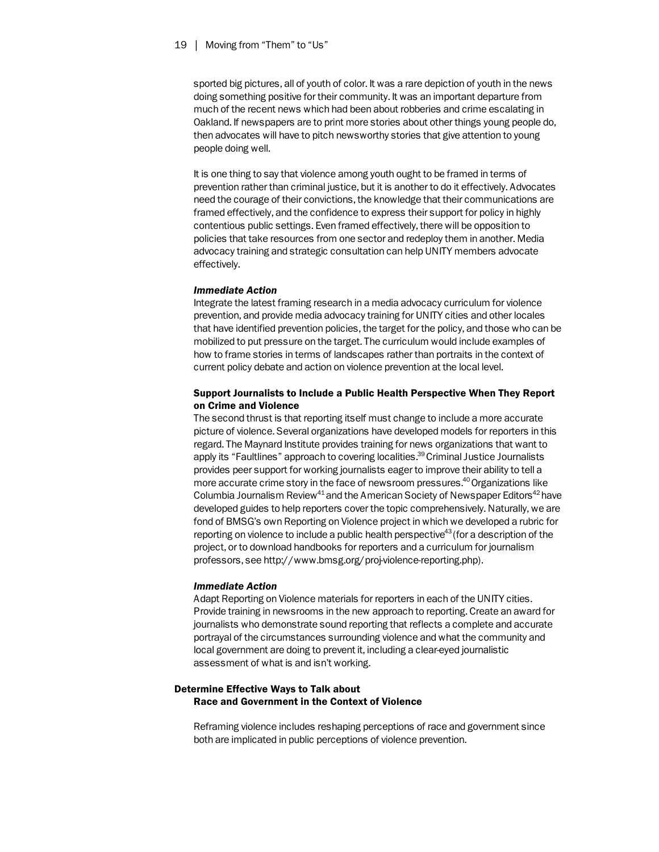sported big pictures, all of youth of color. It was a rare depiction of youth in the news doing something positive for their community. It was an important departure from much of the recent news which had been about robberies and crime escalating in Oakland. If newspapers are to print more stories about other things young people do, then advocates will have to pitch newsworthy stories that give attention to young people doing well.

It is one thing to say that violence among youth ought to be framed in terms of prevention rather than criminal justice, but it is another to do it effectively. Advocates need the courage of their convictions, the knowledge that their communications are framed effectively, and the confidence to express their support for policy in highly contentious public settings. Even framed effectively, there will be opposition to policies that take resources from one sector and redeploy them in another. Media advocacy training and strategic consultation can help UNITY members advocate effectively.

#### *Immediate Action*

Integrate the latest framing research in a media advocacy curriculum for violence prevention, and provide media advocacy training for UNITY cities and other locales that have identified prevention policies, the target for the policy, and those who can be mobilized to put pressure on the target. The curriculum would include examples of how to frame stories in terms of landscapes rather than portraits in the context of current policy debate and action on violence prevention at the local level.

# Support Journalists to Include a Public Health Perspective When They Report on Crime and Violence

The second thrust is that reporting itself must change to include a more accurate picture of violence. Several organizations have developed models for reporters in this regard. The Maynard Institute provides training for news organizations that want to apply its "Faultlines" approach to covering localities.<sup>39</sup> Criminal Justice Journalists provides peer support for working journalists eager to improve their ability to tell a more accurate crime story in the face of newsroom pressures.<sup>40</sup> Organizations like Columbia Journalism Review<sup>41</sup> and the American Society of Newspaper Editors<sup>42</sup> have developed guides to help reporters cover the topic comprehensively. Naturally, we are fond of BMSG's own Reporting on Violence project in which we developed a rubric for reporting on violence to include a public health perspective<sup>43</sup> (for a description of the project, or to download handbooks for reporters and a curriculum for journalism professors, see http://www.bmsg.org/proj-violence-reporting.php).

#### *Immediate Action*

Adapt Reporting on Violence materials for reporters in each of the UNITY cities. Provide training in newsrooms in the new approach to reporting. Create an award for journalists who demonstrate sound reporting that reflects a complete and accurate portrayal of the circumstances surrounding violence and what the community and local government are doing to prevent it, including a clear-eyed journalistic assessment of what is and isn't working.

# Determine Effective Ways to Talk about Race and Government in the Context of Violence

Reframing violence includes reshaping perceptions of race and government since both are implicated in public perceptions of violence prevention.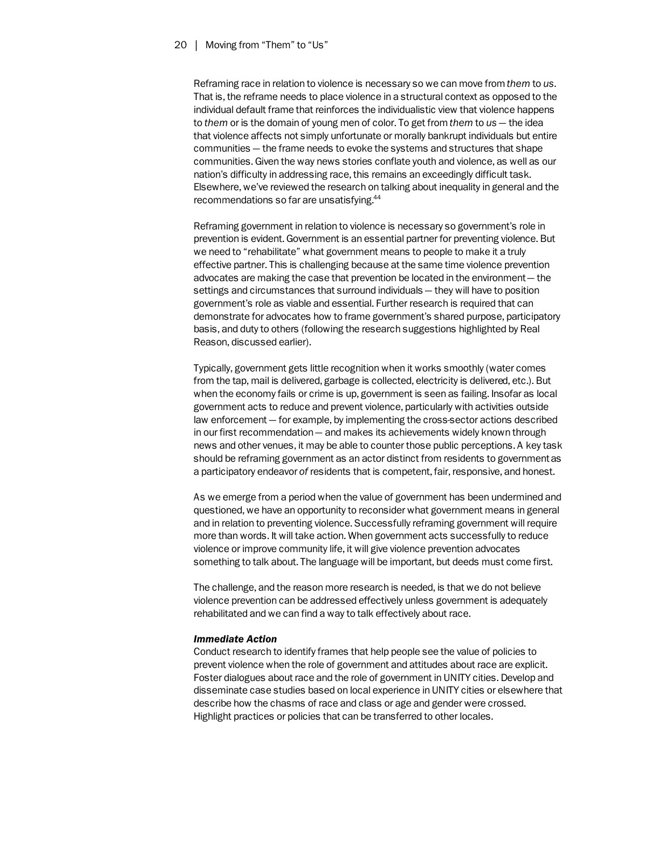Reframing race in relation to violence is necessary so we can move from *them* to *us*. That is, the reframe needs to place violence in a structural context as opposed to the individual default frame that reinforces the individualistic view that violence happens to *them* or is the domain of young men of color. To get from *them* to *us* — the idea that violence affects not simply unfortunate or morally bankrupt individuals but entire communities — the frame needs to evoke the systems and structures that shape communities. Given the way news stories conflate youth and violence, as well as our nation's difficulty in addressing race, this remains an exceedingly difficult task. Elsewhere, we've reviewed the research on talking about inequality in general and the recommendations so far are unsatisfying.44

Reframing government in relation to violence is necessary so government's role in prevention is evident. Government is an essential partner for preventing violence. But we need to "rehabilitate" what government means to people to make it a truly effective partner. This is challenging because at the same time violence prevention advocates are making the case that prevention be located in the environment — the settings and circumstances that surround individuals — they will have to position government's role as viable and essential. Further research is required that can demonstrate for advocates how to frame government's shared purpose, participatory basis, and duty to others (following the research suggestions highlighted by Real Reason, discussed earlier).

Typically, government gets little recognition when it works smoothly (water comes from the tap, mail is delivered, garbage is collected, electricity is delivered, etc.). But when the economy fails or crime is up, government is seen as failing. Insofar as local government acts to reduce and prevent violence, particularly with activities outside law enforcement — for example, by implementing the cross-sector actions described in our first recommendation — and makes its achievements widely known through news and other venues, it may be able to counter those public perceptions. A key task should be reframing government as an actor distinct from residents to government as a participatory endeavor *of* residents that is competent, fair, responsive, and honest.

As we emerge from a period when the value of government has been undermined and questioned, we have an opportunity to reconsider what government means in general and in relation to preventing violence. Successfully reframing government will require more than words. It will take action. When government acts successfully to reduce violence or improve community life, it will give violence prevention advocates something to talk about. The language will be important, but deeds must come first.

The challenge, and the reason more research is needed, is that we do not believe violence prevention can be addressed effectively unless government is adequately rehabilitated and we can find a way to talk effectively about race.

#### *Immediate Action*

Conduct research to identify frames that help people see the value of policies to prevent violence when the role of government and attitudes about race are explicit. Foster dialogues about race and the role of government in UNITY cities. Develop and disseminate case studies based on local experience in UNITY cities or elsewhere that describe how the chasms of race and class or age and gender were crossed. Highlight practices or policies that can be transferred to other locales.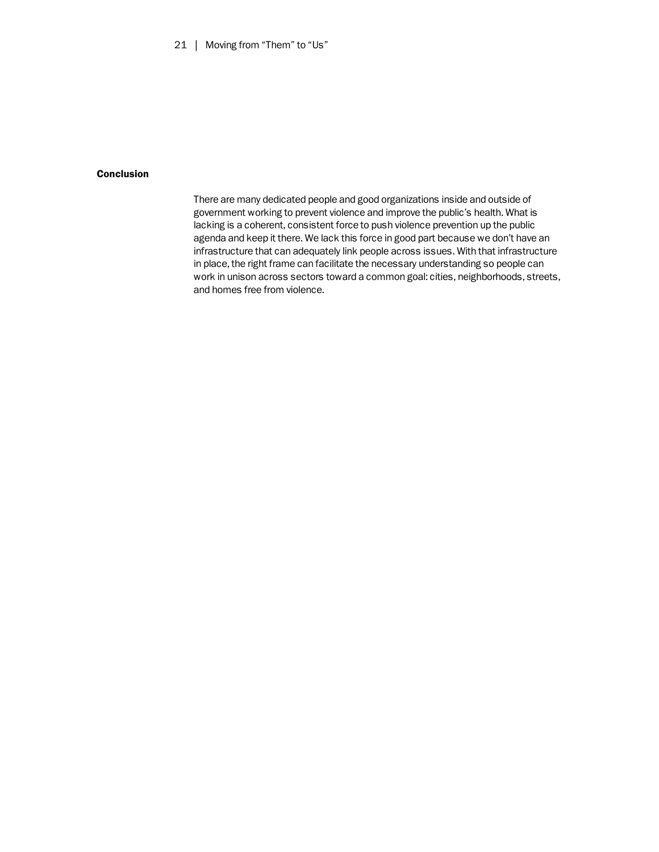# Conclusion

There are many dedicated people and good organizations inside and outside of government working to prevent violence and improve the public's health. What is lacking is a coherent, consistent force to push violence prevention up the public agenda and keep it there. We lack this force in good part because we don't have an infrastructure that can adequately link people across issues. With that infrastructure in place, the right frame can facilitate the necessary understanding so people can work in unison across sectors toward a common goal: cities, neighborhoods, streets, and homes free from violence.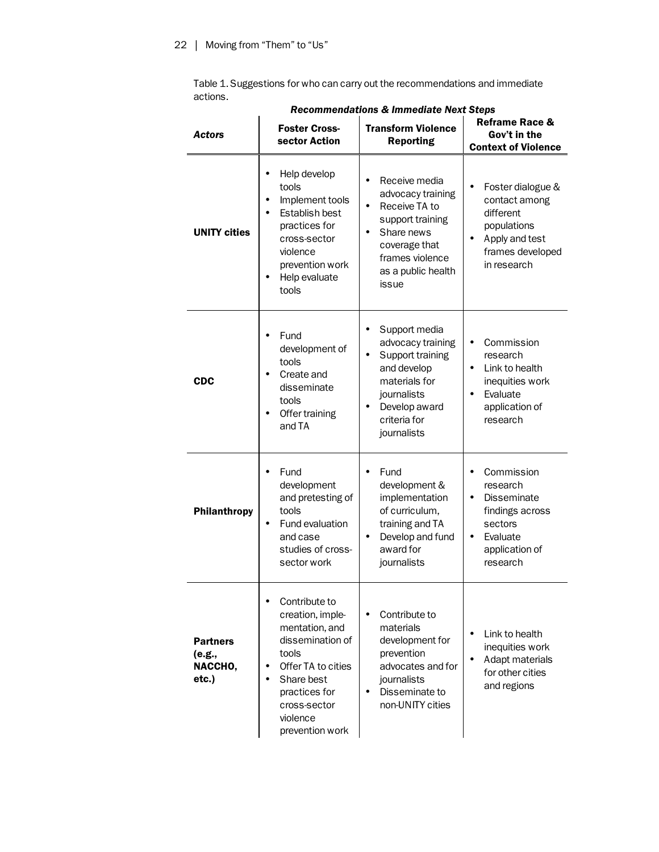Table 1. Suggestions for who can carry out the recommendations and immediate actions.

|  | Actors                                        | <b>Foster Cross-</b><br>sector Action                                                                                                                                                                  | <b>Transform Violence</b><br><b>Reporting</b>                                                                                                                      | <b>Reframe Race &amp;</b><br>Gov't in the<br><b>Context of Violence</b>                                                                        |
|--|-----------------------------------------------|--------------------------------------------------------------------------------------------------------------------------------------------------------------------------------------------------------|--------------------------------------------------------------------------------------------------------------------------------------------------------------------|------------------------------------------------------------------------------------------------------------------------------------------------|
|  | <b>UNITY cities</b>                           | Help develop<br>tools<br>Implement tools<br>Establish best<br>practices for<br>cross-sector<br>violence<br>prevention work<br>Help evaluate<br>tools                                                   | Receive media<br>advocacy training<br>Receive TA to<br>support training<br>Share news<br>coverage that<br>frames violence<br>as a public health<br>issue           | Foster dialogue &<br>contact among<br>different<br>populations<br>Apply and test<br>frames developed<br>in research                            |
|  | <b>CDC</b>                                    | Fund<br>development of<br>tools<br>Create and<br>disseminate<br>tools<br>Offer training<br>and TA                                                                                                      | Support media<br>advocacy training<br>Support training<br>$\bullet$<br>and develop<br>materials for<br>journalists<br>Develop award<br>criteria for<br>journalists | Commission<br>research<br>Link to health<br>$\bullet$<br>inequities work<br>Evaluate<br>$\bullet$<br>application of<br>research                |
|  | Philanthropy                                  | Fund<br>development<br>and pretesting of<br>tools<br>Fund evaluation<br>$\bullet$<br>and case<br>studies of cross-<br>sector work                                                                      | Fund<br>development &<br>implementation<br>of curriculum,<br>training and TA<br>Develop and fund<br>$\bullet$<br>award for<br>journalists                          | Commission<br>research<br><b>Disseminate</b><br>$\bullet$<br>findings across<br>sectors<br>Evaluate<br>$\bullet$<br>application of<br>research |
|  | <b>Partners</b><br>(e.g.,<br>NACCHO,<br>etc.) | Contribute to<br>creation, imple-<br>mentation, and<br>dissemination of<br>tools<br>Offer TA to cities<br>٠<br>Share best<br>$\bullet$<br>practices for<br>cross-sector<br>violence<br>prevention work | Contribute to<br>materials<br>development for<br>prevention<br>advocates and for<br>journalists<br>Disseminate to<br>$\bullet$<br>non-UNITY cities                 | Link to health<br>٠<br>inequities work<br>Adapt materials<br>for other cities<br>and regions                                                   |

 *Recommendations & Immediate Next Steps*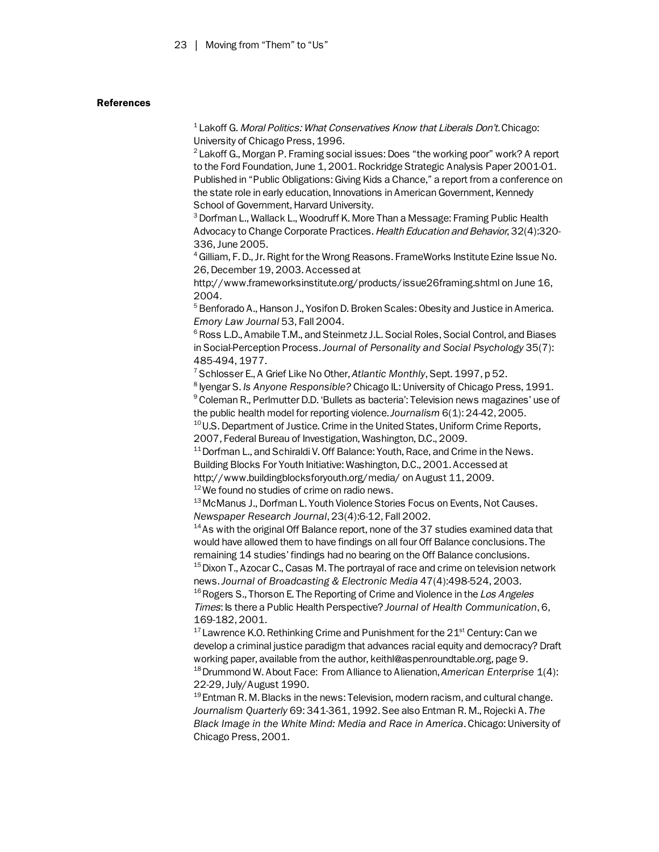# References

 $1$  Lakoff G. Moral Politics: What Conservatives Know that Liberals Don't. Chicago: University of Chicago Press, 1996.

<sup>2</sup> Lakoff G., Morgan P. Framing social issues: Does "the working poor" work? A report to the Ford Foundation, June 1, 2001. Rockridge Strategic Analysis Paper 2001-01. Published in "Public Obligations: Giving Kids a Chance," a report from a conference on the state role in early education, Innovations in American Government, Kennedy School of Government, Harvard University.

 $^3$  Dorfman L., Wallack L., Woodruff K. More Than a Message: Framing Public Health Advocacy to Change Corporate Practices. Health Education and Behavior, 32(4):320- 336, June 2005.

<sup>4</sup> Gilliam, F. D., Jr. Right for the Wrong Reasons. FrameWorks Institute Ezine Issue No. 26, December 19, 2003. Accessed at

http://www.frameworksinstitute.org/products/issue26framing.shtml on June 16, 2004.

<sup>5</sup> Benforado A., Hanson J., Yosifon D. Broken Scales: Obesity and Justice in America. *Emory Law Journal* 53, Fall 2004.

 $6$  Ross L.D., Amabile T.M., and Steinmetz J.L. Social Roles, Social Control, and Biases in Social-Perception Process. *Journal of Personality and Social Psychology* 35(7): 485-494, 1977.

<sup>7</sup> Schlosser E., A Grief Like No Other, Atlantic Monthly, Sept. 1997, p 52.

<sup>8</sup> Iyengar S. *Is Anyone Responsible?* Chicago IL: University of Chicago Press, 1991. <sup>9</sup> Coleman R., Perlmutter D.D. 'Bullets as bacteria': Television news magazines' use of the public health model for reporting violence. *Journalism* 6(1): 24-42, 2005.<br><sup>10</sup> U.S. Department of Justice. Crime in the United States, Uniform Crime Reports,

2007, Federal Bureau of Investigation, Washington, D.C., 2009.

11 Dorfman L., and Schiraldi V. Off Balance: Youth, Race, and Crime in the News. Building Blocks For Youth Initiative: Washington, D.C., 2001. Accessed at http://www.buildingblocksforyouth.org/media/ on August 11, 2009.

 $12$  We found no studies of crime on radio news.

<sup>13</sup> McManus J., Dorfman L. Youth Violence Stories Focus on Events, Not Causes. *Newspaper Research Journal*, 23(4):6-12, Fall 2002.<br><sup>14</sup> As with the original Off Balance report, none of the 37 studies examined data that

would have allowed them to have findings on all four Off Balance conclusions. The remaining 14 studies' findings had no bearing on the Off Balance conclusions.

 $15$  Dixon T., Azocar C., Casas M. The portrayal of race and crime on television network news. *Journal of Broadcasting & Electronic Media* 47(4):498-524, 2003.<br><sup>16</sup> Rogers S., Thorson E. The Reporting of Crime and Violence in the Los Angeles

Times: Is there a Public Health Perspective? *Journal of Health Communication*, 6, 169-182, 2001.

 $17$  Lawrence K.O. Rethinking Crime and Punishment for the  $21<sup>st</sup>$  Century: Can we develop a criminal justice paradigm that advances racial equity and democracy? Draft working paper, available from the author, keithl@aspenroundtable.org, page 9. 18 Drummond W. About Face: From Alliance to Alienation, *American Enterprise* 1(4):

22-29, July/August 1990.<br><sup>19</sup> Entman R. M. Blacks in the news: Television, modern racism, and cultural change. *Journalism Quarterly* 69: 341-361, 1992. See also Entman R. M., Rojecki A. *The Black Image in the White Mind: Media and Race in America*. Chicago: University of Chicago Press, 2001.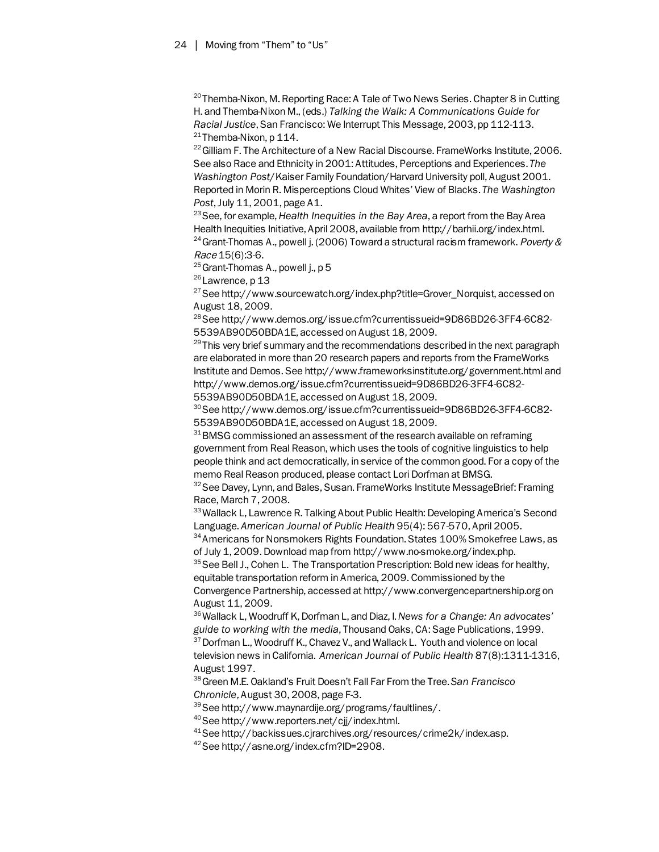<sup>20</sup> Themba-Nixon, M. Reporting Race: A Tale of Two News Series. Chapter 8 in Cutting H. and Themba-Nixon M., (eds.) *Talking the Walk: A Communications Guide for Racial Justice*, San Francisco: We Interrupt This Message, 2003, pp 112-113.  $21$  Themba-Nixon, p 114.

<sup>22</sup> Gilliam F. The Architecture of a New Racial Discourse. FrameWorks Institute, 2006. See also Race and Ethnicity in 2001: Attitudes, Perceptions and Experiences. *The Washington Post*/Kaiser Family Foundation/Harvard University poll, August 2001. Reported in Morin R. Misperceptions Cloud Whites' View of Blacks. *The Washington Post, July 11, 2001, page A1.*<br><sup>23</sup> See, for example, *Health Inequities in the Bay Area, a report from the Bay Area* 

Health Inequities Initiative, April 2008, available from http://barhii.org/index.html. <sup>24</sup> Grant-Thomas A., powell j. (2006) Toward a structural racism framework. Poverty & Race 15(6):3-6.

 $25$  Grant-Thomas A., powell j., p 5

<sup>26</sup> Lawrence, p 13

 $27$  See http://www.sourcewatch.org/index.php?title=Grover\_Norquist, accessed on August 18, 2009.

28 See http://www.demos.org/issue.cfm?currentissueid=9D86BD26-3FF4-6C82- 5539AB90D50BDA1E, accessed on August 18, 2009.

 $29$  This very brief summary and the recommendations described in the next paragraph are elaborated in more than 20 research papers and reports from the FrameWorks Institute and Demos. See http://www.frameworksinstitute.org/government.html and http://www.demos.org/issue.cfm?currentissueid=9D86BD26-3FF4-6C82-

5539AB90D50BDA1E, accessed on August 18, 2009.

30 See http://www.demos.org/issue.cfm?currentissueid=9D86BD26-3FF4-6C82- 5539AB90D50BDA1E, accessed on August 18, 2009.

 $31$  BMSG commissioned an assessment of the research available on reframing government from Real Reason, which uses the tools of cognitive linguistics to help people think and act democratically, in service of the common good. For a copy of the memo Real Reason produced, please contact Lori Dorfman at BMSG.

<sup>32</sup> See Davey, Lynn, and Bales, Susan. FrameWorks Institute MessageBrief: Framing Race, March 7, 2008.

<sup>33</sup> Wallack L, Lawrence R. Talking About Public Health: Developing America's Second Language. American Journal of Public Health 95(4): 567-570, April 2005.<br><sup>34</sup> Americans for Nonsmokers Rights Foundation. States 100% Smokefree Laws, as

of July 1, 2009. Download map from http://www.no-smoke.org/index.php.

<sup>35</sup> See Bell J., Cohen L. The Transportation Prescription: Bold new ideas for healthy, equitable transportation reform in America, 2009. Commissioned by the Convergence Partnership, accessed at http://www.convergencepartnership.org on

August 11, 2009.

36 Wallack L, Woodruff K, Dorfman L, and Diaz, I. *News for a Change: An advocates' guide to working with the media*, Thousand Oaks, CA: Sage Publications, 1999.<br><sup>37</sup> Dorfman L., Woodruff K., Chavez V., and Wallack L. Youth and violence on local television news in California. *American Journal of Public Health* 87(8):1311-1316, August 1997.

38 Green M.E. Oakland's Fruit Doesn't Fall Far From the Tree. *San Francisco Chronicle*, August 30, 2008, page F-3.

39 See http://www.maynardije.org/programs/faultlines/.

- 40 See http://www.reporters.net/cjj/index.html.
- 41 See http://backissues.cjrarchives.org/resources/crime2k/index.asp.
- 42 See http://asne.org/index.cfm?ID=2908.